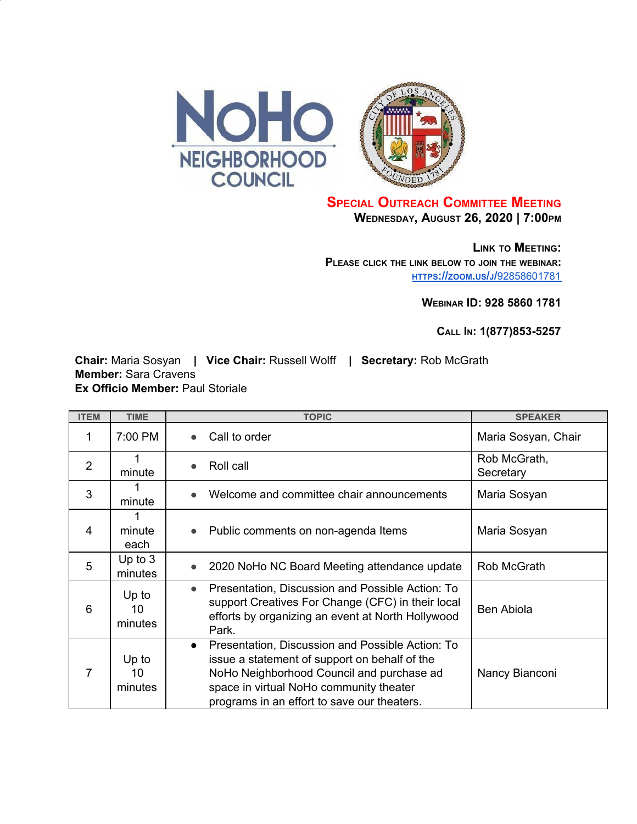



## **SPECIAL OUTREACH COMMITTEE MEETING WEDNESDAY, AUGUST 26, 2020 | 7:00PM**

**LINK TO MEETING: PLEASE CLICK THE LINK BELOW TO JOIN THE WEBINAR: [HTTPS](https://zoom.us/j/92858601781)[://](https://zoom.us/j/92858601781)[ZOOM](https://zoom.us/j/92858601781)[.](https://zoom.us/j/92858601781)[US](https://zoom.us/j/92858601781)[/](https://zoom.us/j/92858601781)[J](https://zoom.us/j/92858601781)[/](https://zoom.us/j/92858601781)**[92858601781](https://zoom.us/j/92858601781)

**WEBINAR ID: 928 5860 1781**

**CALL IN: 1(877)853-5257**

**Chair:** Maria Sosyan **| Vice Chair:** Russell Wolff **| Secretary:** Rob McGrath **Member:** Sara Cravens **Ex Officio Member:** Paul Storiale

| <b>ITEM</b>    | <b>TIME</b>            | <b>TOPIC</b>                                                                                                                                                                                                                                          | <b>SPEAKER</b>            |
|----------------|------------------------|-------------------------------------------------------------------------------------------------------------------------------------------------------------------------------------------------------------------------------------------------------|---------------------------|
| 1              | 7:00 PM                | Call to order                                                                                                                                                                                                                                         | Maria Sosyan, Chair       |
| $\overline{2}$ | minute                 | Roll call                                                                                                                                                                                                                                             | Rob McGrath,<br>Secretary |
| 3              | minute                 | Welcome and committee chair announcements                                                                                                                                                                                                             | Maria Sosyan              |
| 4              | minute<br>each         | Public comments on non-agenda Items                                                                                                                                                                                                                   | Maria Sosyan              |
| 5              | Up to $3$<br>minutes   | 2020 NoHo NC Board Meeting attendance update                                                                                                                                                                                                          | Rob McGrath               |
| 6              | Up to<br>10<br>minutes | Presentation, Discussion and Possible Action: To<br>$\bullet$<br>support Creatives For Change (CFC) in their local<br>efforts by organizing an event at North Hollywood<br>Park.                                                                      | <b>Ben Abiola</b>         |
| 7              | Up to<br>10<br>minutes | Presentation, Discussion and Possible Action: To<br>$\bullet$<br>issue a statement of support on behalf of the<br>NoHo Neighborhood Council and purchase ad<br>space in virtual NoHo community theater<br>programs in an effort to save our theaters. | Nancy Bianconi            |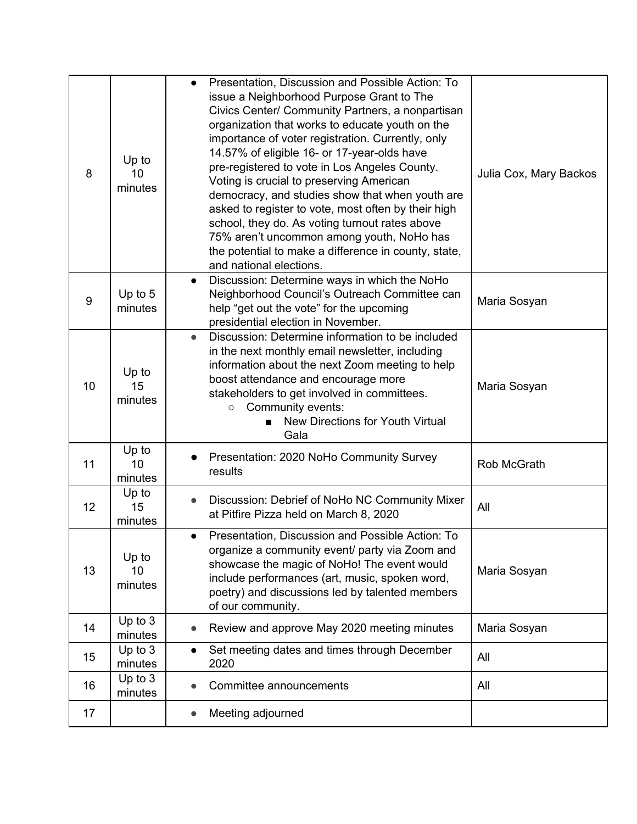| 8  | Up to<br>10<br>minutes | Presentation, Discussion and Possible Action: To<br>$\bullet$<br>issue a Neighborhood Purpose Grant to The<br>Civics Center/ Community Partners, a nonpartisan<br>organization that works to educate youth on the<br>importance of voter registration. Currently, only<br>14.57% of eligible 16- or 17-year-olds have<br>pre-registered to vote in Los Angeles County.<br>Voting is crucial to preserving American<br>democracy, and studies show that when youth are<br>asked to register to vote, most often by their high<br>school, they do. As voting turnout rates above<br>75% aren't uncommon among youth, NoHo has<br>the potential to make a difference in county, state,<br>and national elections. | Julia Cox, Mary Backos |
|----|------------------------|----------------------------------------------------------------------------------------------------------------------------------------------------------------------------------------------------------------------------------------------------------------------------------------------------------------------------------------------------------------------------------------------------------------------------------------------------------------------------------------------------------------------------------------------------------------------------------------------------------------------------------------------------------------------------------------------------------------|------------------------|
| 9  | Up to 5<br>minutes     | Discussion: Determine ways in which the NoHo<br>$\bullet$<br>Neighborhood Council's Outreach Committee can<br>help "get out the vote" for the upcoming<br>presidential election in November.                                                                                                                                                                                                                                                                                                                                                                                                                                                                                                                   | Maria Sosyan           |
| 10 | Up to<br>15<br>minutes | Discussion: Determine information to be included<br>$\bullet$<br>in the next monthly email newsletter, including<br>information about the next Zoom meeting to help<br>boost attendance and encourage more<br>stakeholders to get involved in committees.<br>Community events:<br>$\circ$<br>New Directions for Youth Virtual<br>Gala                                                                                                                                                                                                                                                                                                                                                                          | Maria Sosyan           |
| 11 | Up to<br>10<br>minutes | Presentation: 2020 NoHo Community Survey<br>results                                                                                                                                                                                                                                                                                                                                                                                                                                                                                                                                                                                                                                                            | Rob McGrath            |
| 12 | Up to<br>15<br>minutes | Discussion: Debrief of NoHo NC Community Mixer<br>at Pitfire Pizza held on March 8, 2020                                                                                                                                                                                                                                                                                                                                                                                                                                                                                                                                                                                                                       | All                    |
| 13 | Up to<br>10<br>minutes | Presentation, Discussion and Possible Action: To<br>$\bullet$<br>organize a community event/ party via Zoom and<br>showcase the magic of NoHo! The event would<br>include performances (art, music, spoken word,<br>poetry) and discussions led by talented members<br>of our community.                                                                                                                                                                                                                                                                                                                                                                                                                       | Maria Sosyan           |
| 14 | Up to $3$<br>minutes   | Review and approve May 2020 meeting minutes<br>$\bullet$                                                                                                                                                                                                                                                                                                                                                                                                                                                                                                                                                                                                                                                       | Maria Sosyan           |
| 15 | Up to $3$<br>minutes   | Set meeting dates and times through December<br>2020                                                                                                                                                                                                                                                                                                                                                                                                                                                                                                                                                                                                                                                           | All                    |
| 16 | Up to 3<br>minutes     | Committee announcements                                                                                                                                                                                                                                                                                                                                                                                                                                                                                                                                                                                                                                                                                        | All                    |
| 17 |                        | Meeting adjourned                                                                                                                                                                                                                                                                                                                                                                                                                                                                                                                                                                                                                                                                                              |                        |